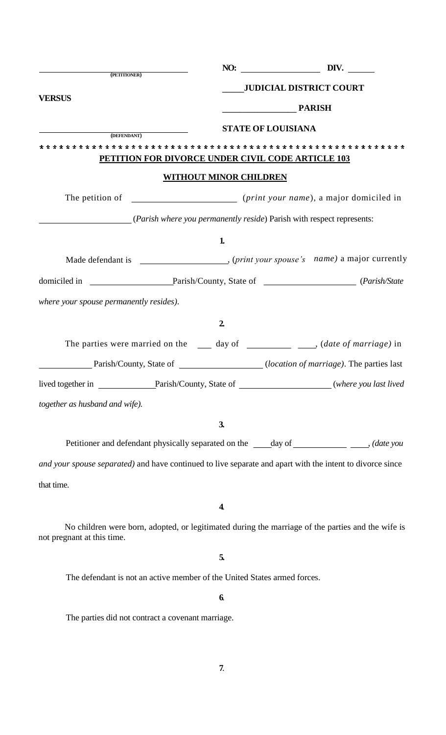| (PETITIONER)                                                                   |                               | DIV.<br>NO:                                                                                                                                                                                                                                                                                                                        |
|--------------------------------------------------------------------------------|-------------------------------|------------------------------------------------------------------------------------------------------------------------------------------------------------------------------------------------------------------------------------------------------------------------------------------------------------------------------------|
|                                                                                |                               | <b>JUDICIAL DISTRICT COURT</b>                                                                                                                                                                                                                                                                                                     |
| <b>VERSUS</b>                                                                  |                               | <b>PARISH</b>                                                                                                                                                                                                                                                                                                                      |
|                                                                                |                               | <b>STATE OF LOUISIANA</b>                                                                                                                                                                                                                                                                                                          |
| (DEFENDANT)                                                                    |                               |                                                                                                                                                                                                                                                                                                                                    |
|                                                                                |                               | PETITION FOR DIVORCE UNDER CIVIL CODE ARTICLE 103                                                                                                                                                                                                                                                                                  |
|                                                                                | <b>WITHOUT MINOR CHILDREN</b> |                                                                                                                                                                                                                                                                                                                                    |
|                                                                                |                               |                                                                                                                                                                                                                                                                                                                                    |
| ( <i>Parish where you permanently reside</i> ) Parish with respect represents: |                               |                                                                                                                                                                                                                                                                                                                                    |
|                                                                                | 1                             |                                                                                                                                                                                                                                                                                                                                    |
|                                                                                |                               |                                                                                                                                                                                                                                                                                                                                    |
|                                                                                |                               |                                                                                                                                                                                                                                                                                                                                    |
| where your spouse permanently resides).                                        |                               |                                                                                                                                                                                                                                                                                                                                    |
|                                                                                | $\overline{2}$                |                                                                                                                                                                                                                                                                                                                                    |
|                                                                                |                               | The parties were married on the $\qquad \qquad$ day of $\qquad \qquad$ $\qquad \qquad$ $\qquad \qquad$ $\qquad$ $\qquad$ $\qquad$ $\qquad$ $\qquad$ $\qquad$ $\qquad$ $\qquad$ $\qquad$ $\qquad$ $\qquad$ $\qquad$ $\qquad$ $\qquad$ $\qquad$ $\qquad$ $\qquad$ $\qquad$ $\qquad$ $\qquad$ $\qquad$ $\qquad$ $\qquad$ $\qquad$ $\$ |
|                                                                                |                               | Parish/County, State of ________________(location of marriage). The parties last                                                                                                                                                                                                                                                   |
|                                                                                |                               | lived together in Parish/County, State of _____________________(where you last lived                                                                                                                                                                                                                                               |
| together as husband and wife).                                                 |                               |                                                                                                                                                                                                                                                                                                                                    |
|                                                                                | 3 <sub>l</sub>                |                                                                                                                                                                                                                                                                                                                                    |
|                                                                                |                               | Petitioner and defendant physically separated on the _____day of ______________________, (date you                                                                                                                                                                                                                                 |
|                                                                                |                               | and your spouse separated) and have continued to live separate and apart with the intent to divorce since                                                                                                                                                                                                                          |
| that time.                                                                     |                               |                                                                                                                                                                                                                                                                                                                                    |
|                                                                                | 4.                            |                                                                                                                                                                                                                                                                                                                                    |
| not pregnant at this time.                                                     |                               | No children were born, adopted, or legitimated during the marriage of the parties and the wife is                                                                                                                                                                                                                                  |
|                                                                                | 5.                            |                                                                                                                                                                                                                                                                                                                                    |
| The defendant is not an active member of the United States armed forces.       |                               |                                                                                                                                                                                                                                                                                                                                    |
|                                                                                | 6.                            |                                                                                                                                                                                                                                                                                                                                    |
| The parties did not contract a covenant marriage.                              |                               |                                                                                                                                                                                                                                                                                                                                    |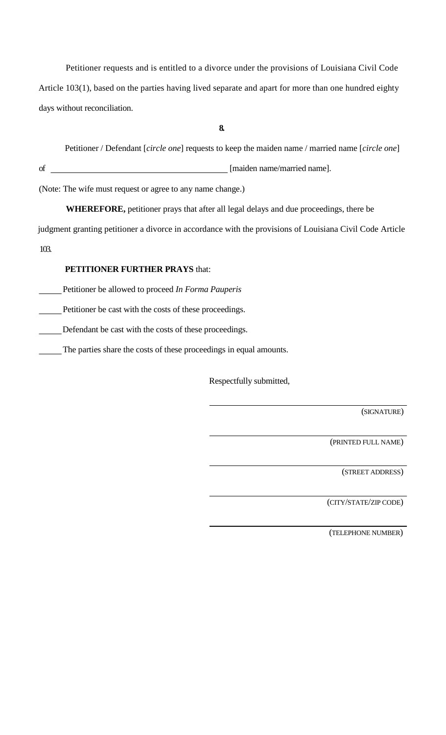Petitioner requests and is entitled to a divorce under the provisions of Louisiana Civil Code Article 103(1), based on the parties having lived separate and apart for more than one hundred eighty days without reconciliation.

**8.**

Petitioner / Defendant [*circle one*] requests to keep the maiden name / married name [*circle one*]

of [maiden name/married name].

(Note: The wife must request or agree to any name change.)

**WHEREFORE,** petitioner prays that after all legal delays and due proceedings, there be

judgment granting petitioner a divorce in accordance with the provisions of Louisiana Civil Code Article

103.

## **PETITIONER FURTHER PRAYS** that:

Petitioner be allowed to proceed *In Forma Pauperis*

Petitioner be cast with the costs of these proceedings.

Defendant be cast with the costs of these proceedings.

The parties share the costs of these proceedings in equal amounts.

Respectfully submitted,

(SIGNATURE)

(PRINTED FULL NAME)

(STREET ADDRESS)

(CITY/STATE/ZIP CODE)

(TELEPHONE NUMBER)